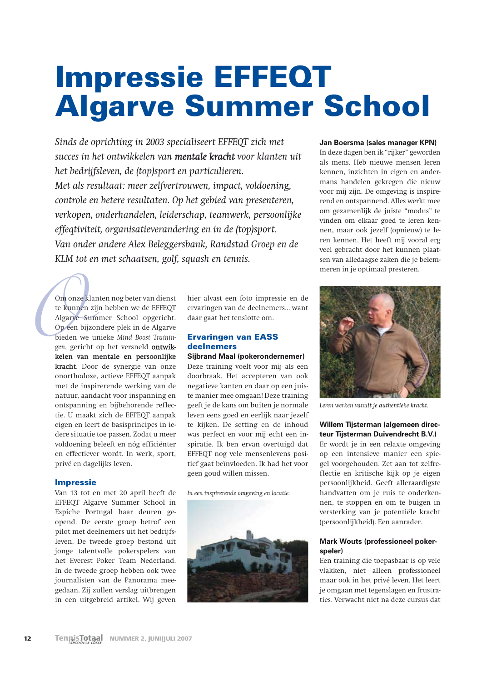# **Impressie EFFEQT Algarve Summer School**

Sinds de oprichting in 2003 specialiseert EFFEQT zich met succes in het ontwikkelen van mentale kracht voor klanten uit het bedrijfsleven, de (top)sport en particulieren. Met als resultaat: meer zelfvertrouwen, impact, voldoening, controle en betere resultaten. Op het gebied van presenteren, verkopen, onderhandelen, leiderschap, teamwerk, persoonlijke effegtiviteit, organisatieverandering en in de (top)sport. Van onder andere Alex Beleggersbank, Randstad Groep en de KLM tot en met schaatsen, golf, sauash en tennis.

Om onze klanten nog beter van dienst te kunnen zijn hebben we de EFFEQT Algarye Summer School opgericht. Op een bijzondere plek in de Algarye bieden we unieke Mind Boost Trainingen, gericht op het versneld ontwikkelen van mentale en persoonlijke kracht. Door de synergie van onze onorthodoxe, actieve EFFEQT aanpak met de inspirerende werking van de natuur, aandacht voor inspanning en ontspanning en bijbehorende reflectie. U maakt zich de EFFEQT aanpak eigen en leert de basisprincipes in iedere situatie toe passen. Zodat u meer voldoening beleeft en nóg efficiënter en effectiever wordt. In werk, sport, privé en dagelijks leven.

#### **Impressie**

Van 13 tot en met 20 april heeft de EFFEOT Algarve Summer School in Espiche Portugal haar deuren geopend. De eerste groep betrof een pilot met deelnemers uit het bedrijfsleven. De tweede groep bestond uit jonge talentvolle pokerspelers van het Everest Poker Team Nederland. In de tweede groep hebben ook twee journalisten van de Panorama meegedaan. Zij zullen verslag uitbrengen in een uitgebreid artikel. Wij geven

hier alvast een foto impressie en de ervaringen van de deelnemers... want daar gaat het tenslotte om.

# **Ervaringen van EASS** deelnemers

**Sijbrand Maal (pokerondernemer)** Deze training voelt voor mij als een doorbraak. Het accepteren van ook negatieve kanten en daar op een juiste manier mee omgaan! Deze training geeft je de kans om buiten je normale leven eens goed en eerlijk naar jezelf te kijken. De setting en de inhoud was perfect en voor mij echt een inspiratie. Ik ben ervan overtuigd dat EFFEQT nog vele mensenlevens positief gaat beïnvloeden. Ik had het voor geen goud willen missen.

In een inspirerende omgeving en locatie.



#### Jan Boersma (sales manager KPN)

In deze dagen ben ik "rijker" geworden als mens. Heb nieuwe mensen leren kennen, inzichten in eigen en andermans handelen gekregen die nieuw voor mij zijn. De omgeving is inspirerend en ontspannend. Alles werkt mee om gezamenlijk de juiste "modus" te vinden om elkaar goed te leren kennen, maar ook jezelf (opnieuw) te leren kennen. Het heeft mij vooral erg veel gebracht door het kunnen plaatsen van alledaagse zaken die je belemmeren in je optimaal presteren.



Leren werken vanuit je authentieke kracht.

#### Willem Tiisterman (algemeen directeur Tiisterman Duivendrecht B.V.)

Er wordt je in een relaxte omgeving op een intensieve manier een spiegel voorgehouden. Zet aan tot zelfreflectie en kritische kijk op je eigen persoonlijkheid. Geeft alleraardigste handvatten om je ruis te onderkennen, te stoppen en om te buigen in versterking van je potentiële kracht (persoonlijkheid). Een aanrader.

#### Mark Wouts (professioneel pokerspeler)

Een training die toepasbaar is op vele vlakken, niet alleen professioneel maar ook in het privé leven. Het leert je omgaan met tegenslagen en frustraties. Verwacht niet na deze cursus dat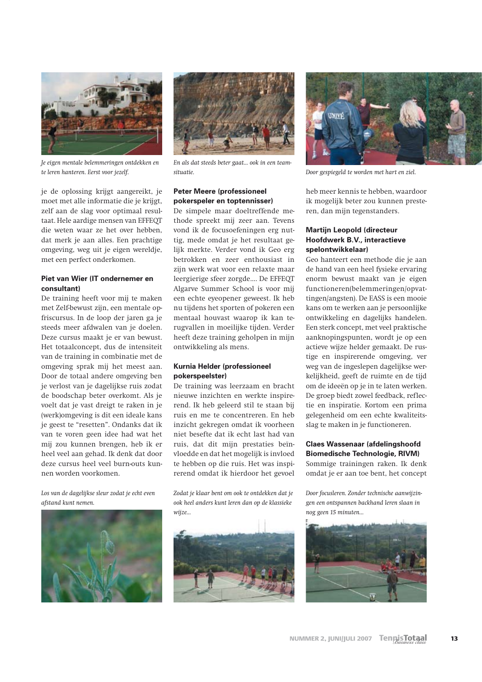

Je eigen mentale belemmeringen ontdekken en te leren hanteren. Eerst voor jezelf.

je de oplossing krijgt aangereikt, je moet met alle informatie die je krijgt, zelf aan de slag voor optimaal resultaat. Hele aardige mensen van EFFEOT die weten waar ze het over hebben. dat merk je aan alles. Een prachtige omgeving, weg uit je eigen wereldje, met een perfect onderkomen.

## Piet van Wier (IT ondernemer en consultant)

De training heeft voor mij te maken met Zelf-bewust zijn, een mentale opfriscursus. In de loop der jaren ga je steeds meer afdwalen van je doelen. Deze cursus maakt je er van bewust. Het totaalconcept, dus de intensiteit van de training in combinatie met de omgeving sprak mij het meest aan. Door de totaal andere omgeving ben je verlost van je dagelijkse ruis zodat de boodschap beter overkomt. Als je voelt dat je vast dreigt te raken in je (werk)omgeving is dit een ideale kans ie geest te "resetten". Ondanks dat ik van te voren geen idee had wat het mij zou kunnen brengen, heb ik er heel veel aan gehad. Ik denk dat door deze cursus heel veel burn-outs kunnen worden voorkomen.

Los van de dagelijkse sleur zodat je echt even afstand kunt nemen.





En als dat steeds beter gaat... ook in een teamsituatie.

# **Peter Meere (professioneel)** pokerspeler en toptennisser)

De simpele maar doeltreffende methode spreekt mij zeer aan. Tevens vond ik de focusoefeningen erg nuttig, mede omdat je het resultaat gelijk merkte. Verder vond ik Geo erg betrokken en zeer enthousiast in zijn werk wat voor een relaxte maar leergierige sfeer zorgde.... De EFFEQT Algarve Summer School is voor mij een echte eveopener geweest. Ik heb nu tijdens het sporten of pokeren een mentaal houvast waarop ik kan terugvallen in moeilijke tijden. Verder heeft deze training geholpen in mijn ontwikkeling als mens.

### Kurnia Helder (professioneel pokerspeelster)

De training was leerzaam en bracht nieuwe inzichten en werkte inspirerend. Ik heb geleerd stil te staan bij ruis en me te concentreren. En heb inzicht gekregen omdat ik voorheen niet besefte dat ik echt last had van ruis, dat dit miin prestaties beïnvloedde en dat het mogelijk is invloed te hebben op die ruis. Het was inspirerend omdat ik hierdoor het gevoel

Zodat je klaar bent om ook te ontdekken dat je ook heel anders kunt leren dan op de klassieke wiize...





Door gespiegeld te worden met hart en ziel.

heb meer kennis te hebben, waardoor ik mogelijk beter zou kunnen presteren, dan mijn tegenstanders.

## **Martiin Leopold (directeur)** Hoofdwerk B.V., interactieve spelontwikkelaar)

Geo hanteert een methode die je aan de hand van een heel fysieke ervaring enorm bewust maakt van je eigen functioneren(belemmeringen/opvattingen/angsten). De EASS is een mooie kans om te werken aan je persoonlijke ontwikkeling en dagelijks handelen. Een sterk concept, met veel praktische aanknopingspunten, wordt je op een actieve wijze helder gemaakt. De rustige en inspirerende omgeving, ver weg van de ingeslepen dagelijkse werkelijkheid, geeft de ruimte en de tijd om de ideeën op je in te laten werken. De groep biedt zowel feedback, reflectie en inspiratie. Kortom een prima gelegenheid om een echte kwaliteitsslag te maken in je functioneren.

## **Claes Wassenaar (afdelingshoofd) Biomedische Technologie, RIVM)**

Sommige trainingen raken. Ik denk omdat je er aan toe bent, het concept

Door focusleren. Zonder technische aanwiizingen een ontspannen backhand leren slaan in nog geen 15 minuten...